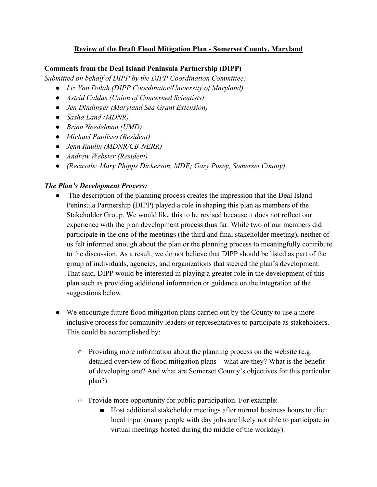# **Review of the Draft Flood Mitigation Plan - Somerset County, Maryland**

## **Comments from the Deal Island Peninsula Partnership (DIPP)**

*Submitted on behalf of DIPP by the DIPP Coordination Committee:*

- *Liz Van Dolah (DIPP Coordinator/University of Maryland)*
- *Astrid Caldas (Union of Concerned Scientists)*
- *Jen Dindinger (Maryland Sea Grant Extension)*
- *Sasha Land (MDNR)*
- *Brian Needelman (UMD)*
- *Michael Paolisso (Resident)*
- *Jenn Raulin (MDNR/CB-NERR)*
- *Andrew Webster (Resident)*
- *(Recusals: Mary Phipps Dickerson, MDE; Gary Pusey, Somerset County)*

## *The Plan's Development Process:*

- The description of the planning process creates the impression that the Deal Island Peninsula Partnership (DIPP) played a role in shaping this plan as members of the Stakeholder Group. We would like this to be revised because it does not reflect our experience with the plan development process thus far. While two of our members did participate in the one of the meetings (the third and final stakeholder meeting), neither of us felt informed enough about the plan or the planning process to meaningfully contribute to the discussion. As a result, we do not believe that DIPP should be listed as part of the group of individuals, agencies, and organizations that steered the plan's development. That said, DIPP would be interested in playing a greater role in the development of this plan such as providing additional information or guidance on the integration of the suggestions below.
- We encourage future flood mitigation plans carried out by the County to use a more inclusive process for community leaders or representatives to participate as stakeholders. This could be accomplished by:
	- Providing more information about the planning process on the website (e.g. detailed overview of flood mitigation plans – what are they? What is the benefit of developing one? And what are Somerset County's objectives for this particular plan?)
	- Provide more opportunity for public participation. For example:
		- Host additional stakeholder meetings after normal business hours to elicit local input (many people with day jobs are likely not able to participate in virtual meetings hosted during the middle of the workday).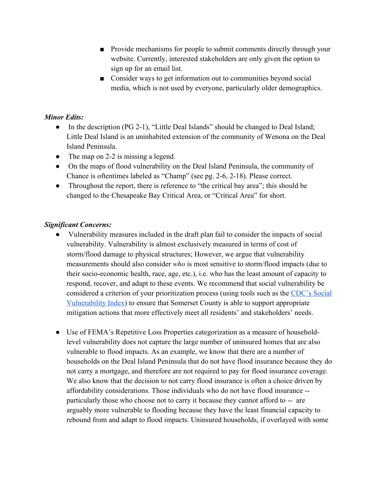- Provide mechanisms for people to submit comments directly through your website. Currently, interested stakeholders are only given the option to sign up for an email list.
- Consider ways to get information out to communities beyond social media, which is not used by everyone, particularly older demographics.

## *Minor Edits:*

- In the description (PG 2-1), "Little Deal Islands" should be changed to Deal Island; Little Deal Island is an uninhabited extension of the community of Wenona on the Deal Island Peninsula.
- The map on 2-2 is missing a legend.
- On the maps of flood vulnerability on the Deal Island Peninsula, the community of Chance is oftentimes labeled as "Champ" (see pg. 2-6, 2-18). Please correct.
- Throughout the report, there is reference to "the critical bay area"; this should be changed to the Chesapeake Bay Critical Area, or "Critical Area" for short.

# *Significant Concerns:*

- Vulnerability measures included in the draft plan fail to consider the impacts of social vulnerability. Vulnerability is almost exclusively measured in terms of cost of storm/flood damage to physical structures; However, we argue that vulnerability measurements should also consider *who* is most sensitive to storm/flood impacts (due to their socio-economic health, race, age, etc.), i.e. who has the least amount of capacity to respond, recover, and adapt to these events. We recommend that social vulnerability be considered a criterion of your prioritization process (using tools such as the CDC's Social Vulnerability Index) to ensure that Somerset County is able to support appropriate mitigation actions that more effectively meet all residents' and stakeholders' needs.
- Use of FEMA's Repetitive Loss Properties categorization as a measure of householdlevel vulnerability does not capture the large number of uninsured homes that are also vulnerable to flood impacts. As an example, we know that there are a number of households on the Deal Island Peninsula that do not have flood insurance because they do not carry a mortgage, and therefore are not required to pay for flood insurance coverage. We also know that the decision to not carry flood insurance is often a choice driven by affordability considerations. Those individuals who do not have flood insurance - particularly those who choose not to carry it because they cannot afford to -- are arguably more vulnerable to flooding because they have the least financial capacity to rebound from and adapt to flood impacts. Uninsured households, if overlayed with some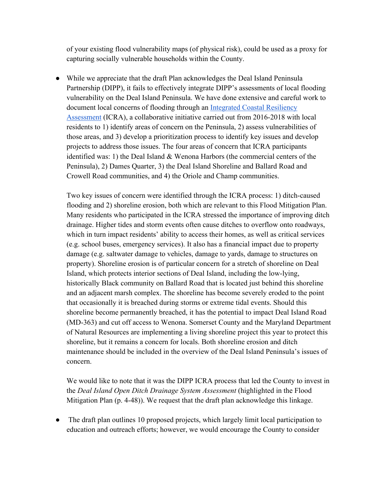of your existing flood vulnerability maps (of physical risk), could be used as a proxy for capturing socially vulnerable households within the County.

• While we appreciate that the draft Plan acknowledges the Deal Island Peninsula Partnership (DIPP), it fails to effectively integrate DIPP's assessments of local flooding vulnerability on the Deal Island Peninsula. We have done extensive and careful work to document local concerns of flooding through an Integrated Coastal Resiliency Assessment (ICRA), a collaborative initiative carried out from 2016-2018 with local residents to 1) identify areas of concern on the Peninsula, 2) assess vulnerabilities of those areas, and 3) develop a prioritization process to identify key issues and develop projects to address those issues. The four areas of concern that ICRA participants identified was: 1) the Deal Island & Wenona Harbors (the commercial centers of the Peninsula), 2) Dames Quarter, 3) the Deal Island Shoreline and Ballard Road and Crowell Road communities, and 4) the Oriole and Champ communities.

Two key issues of concern were identified through the ICRA process: 1) ditch-caused flooding and 2) shoreline erosion, both which are relevant to this Flood Mitigation Plan. Many residents who participated in the ICRA stressed the importance of improving ditch drainage. Higher tides and storm events often cause ditches to overflow onto roadways, which in turn impact residents' ability to access their homes, as well as critical services (e.g. school buses, emergency services). It also has a financial impact due to property damage (e.g. saltwater damage to vehicles, damage to yards, damage to structures on property). Shoreline erosion is of particular concern for a stretch of shoreline on Deal Island, which protects interior sections of Deal Island, including the low-lying, historically Black community on Ballard Road that is located just behind this shoreline and an adjacent marsh complex. The shoreline has become severely eroded to the point that occasionally it is breached during storms or extreme tidal events. Should this shoreline become permanently breached, it has the potential to impact Deal Island Road (MD-363) and cut off access to Wenona. Somerset County and the Maryland Department of Natural Resources are implementing a living shoreline project this year to protect this shoreline, but it remains a concern for locals. Both shoreline erosion and ditch maintenance should be included in the overview of the Deal Island Peninsula's issues of concern.

We would like to note that it was the DIPP ICRA process that led the County to invest in the *Deal Island Open Ditch Drainage System Assessment* (highlighted in the Flood Mitigation Plan (p. 4-48)). We request that the draft plan acknowledge this linkage.

The draft plan outlines 10 proposed projects, which largely limit local participation to education and outreach efforts; however, we would encourage the County to consider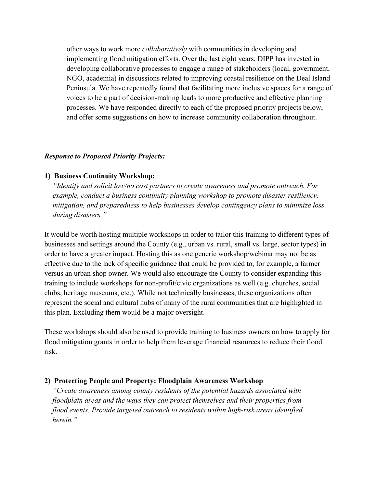other ways to work more *collaboratively* with communities in developing and implementing flood mitigation efforts. Over the last eight years, DIPP has invested in developing collaborative processes to engage a range of stakeholders (local, government, NGO, academia) in discussions related to improving coastal resilience on the Deal Island Peninsula. We have repeatedly found that facilitating more inclusive spaces for a range of voices to be a part of decision-making leads to more productive and effective planning processes. We have responded directly to each of the proposed priority projects below, and offer some suggestions on how to increase community collaboration throughout.

#### *Response to Proposed Priority Projects:*

## **1) Business Continuity Workshop:**

*"Identify and solicit low/no cost partners to create awareness and promote outreach. For example, conduct a business continuity planning workshop to promote disaster resiliency, mitigation, and preparedness to help businesses develop contingency plans to minimize loss during disasters."*

It would be worth hosting multiple workshops in order to tailor this training to different types of businesses and settings around the County (e.g., urban vs. rural, small vs. large, sector types) in order to have a greater impact. Hosting this as one generic workshop/webinar may not be as effective due to the lack of specific guidance that could be provided to, for example, a farmer versus an urban shop owner. We would also encourage the County to consider expanding this training to include workshops for non-profit/civic organizations as well (e.g. churches, social clubs, heritage museums, etc.). While not technically businesses, these organizations often represent the social and cultural hubs of many of the rural communities that are highlighted in this plan. Excluding them would be a major oversight.

These workshops should also be used to provide training to business owners on how to apply for flood mitigation grants in order to help them leverage financial resources to reduce their flood risk.

### **2) Protecting People and Property: Floodplain Awareness Workshop**

*"Create awareness among county residents of the potential hazards associated with floodplain areas and the ways they can protect themselves and their properties from flood events. Provide targeted outreach to residents within high-risk areas identified herein."*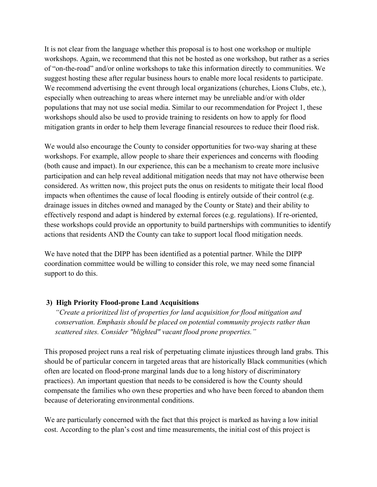It is not clear from the language whether this proposal is to host one workshop or multiple workshops. Again, we recommend that this not be hosted as one workshop, but rather as a series of "on-the-road" and/or online workshops to take this information directly to communities. We suggest hosting these after regular business hours to enable more local residents to participate. We recommend advertising the event through local organizations (churches, Lions Clubs, etc.), especially when outreaching to areas where internet may be unreliable and/or with older populations that may not use social media. Similar to our recommendation for Project 1, these workshops should also be used to provide training to residents on how to apply for flood mitigation grants in order to help them leverage financial resources to reduce their flood risk.

We would also encourage the County to consider opportunities for two-way sharing at these workshops. For example, allow people to share their experiences and concerns with flooding (both cause and impact). In our experience, this can be a mechanism to create more inclusive participation and can help reveal additional mitigation needs that may not have otherwise been considered. As written now, this project puts the onus on residents to mitigate their local flood impacts when oftentimes the cause of local flooding is entirely outside of their control (e.g. drainage issues in ditches owned and managed by the County or State) and their ability to effectively respond and adapt is hindered by external forces (e.g. regulations). If re-oriented, these workshops could provide an opportunity to build partnerships with communities to identify actions that residents AND the County can take to support local flood mitigation needs.

We have noted that the DIPP has been identified as a potential partner. While the DIPP coordination committee would be willing to consider this role, we may need some financial support to do this.

## **3) High Priority Flood-prone Land Acquisitions**

*"Create a prioritized list of properties for land acquisition for flood mitigation and conservation. Emphasis should be placed on potential community projects rather than scattered sites. Consider "blighted" vacant flood prone properties."* 

This proposed project runs a real risk of perpetuating climate injustices through land grabs. This should be of particular concern in targeted areas that are historically Black communities (which often are located on flood-prone marginal lands due to a long history of discriminatory practices). An important question that needs to be considered is how the County should compensate the families who own these properties and who have been forced to abandon them because of deteriorating environmental conditions.

We are particularly concerned with the fact that this project is marked as having a low initial cost. According to the plan's cost and time measurements, the initial cost of this project is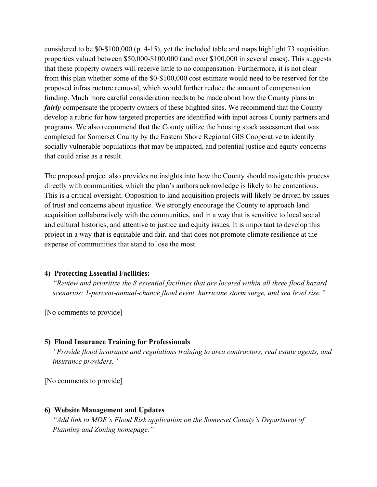considered to be \$0-\$100,000 (p. 4-15), yet the included table and maps highlight 73 acquisition properties valued between \$50,000-\$100,000 (and over \$100,000 in several cases). This suggests that these property owners will receive little to no compensation. Furthermore, it is not clear from this plan whether some of the \$0-\$100,000 cost estimate would need to be reserved for the proposed infrastructure removal, which would further reduce the amount of compensation funding. Much more careful consideration needs to be made about how the County plans to *fairly* compensate the property owners of these blighted sites. We recommend that the County develop a rubric for how targeted properties are identified with input across County partners and programs. We also recommend that the County utilize the housing stock assessment that was completed for Somerset County by the Eastern Shore Regional GIS Cooperative to identify socially vulnerable populations that may be impacted, and potential justice and equity concerns that could arise as a result.

The proposed project also provides no insights into how the County should navigate this process directly with communities, which the plan's authors acknowledge is likely to be contentious. This is a critical oversight. Opposition to land acquisition projects will likely be driven by issues of trust and concerns about injustice. We strongly encourage the County to approach land acquisition collaboratively with the communities, and in a way that is sensitive to local social and cultural histories, and attentive to justice and equity issues. It is important to develop this project in a way that is equitable and fair, and that does not promote climate resilience at the expense of communities that stand to lose the most.

### **4) Protecting Essential Facilities:**

*"Review and prioritize the 8 essential facilities that are located within all three flood hazard scenarios: 1-percent-annual-chance flood event, hurricane storm surge, and sea level rise."* 

[No comments to provide]

#### **5) Flood Insurance Training for Professionals**

*"Provide flood insurance and regulations training to area contractors, real estate agents, and insurance providers."* 

[No comments to provide]

### **6) Website Management and Updates**

*"Add link to MDE's Flood Risk application on the Somerset County's Department of Planning and Zoning homepage."*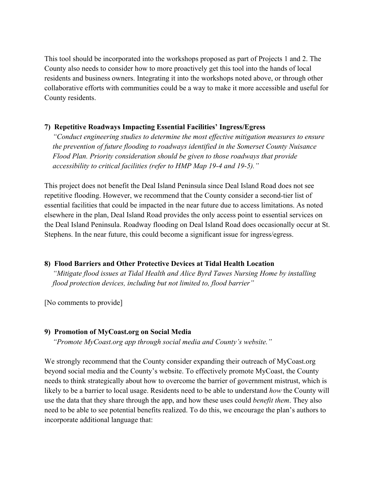This tool should be incorporated into the workshops proposed as part of Projects 1 and 2. The County also needs to consider how to more proactively get this tool into the hands of local residents and business owners. Integrating it into the workshops noted above, or through other collaborative efforts with communities could be a way to make it more accessible and useful for County residents.

## **7) Repetitive Roadways Impacting Essential Facilities' Ingress/Egress**

*"Conduct engineering studies to determine the most effective mitigation measures to ensure the prevention of future flooding to roadways identified in the Somerset County Nuisance Flood Plan. Priority consideration should be given to those roadways that provide accessibility to critical facilities (refer to HMP Map 19-4 and 19-5)."* 

This project does not benefit the Deal Island Peninsula since Deal Island Road does not see repetitive flooding. However, we recommend that the County consider a second-tier list of essential facilities that could be impacted in the near future due to access limitations. As noted elsewhere in the plan, Deal Island Road provides the only access point to essential services on the Deal Island Peninsula. Roadway flooding on Deal Island Road does occasionally occur at St. Stephens. In the near future, this could become a significant issue for ingress/egress.

### **8) Flood Barriers and Other Protective Devices at Tidal Health Location**

*"Mitigate flood issues at Tidal Health and Alice Byrd Tawes Nursing Home by installing flood protection devices, including but not limited to, flood barrier"*

[No comments to provide]

### **9) Promotion of MyCoast.org on Social Media**

*"Promote MyCoast.org app through social media and County's website."* 

We strongly recommend that the County consider expanding their outreach of MyCoast.org beyond social media and the County's website. To effectively promote MyCoast, the County needs to think strategically about how to overcome the barrier of government mistrust, which is likely to be a barrier to local usage. Residents need to be able to understand *how* the County will use the data that they share through the app, and how these uses could *benefit them*. They also need to be able to see potential benefits realized. To do this, we encourage the plan's authors to incorporate additional language that: